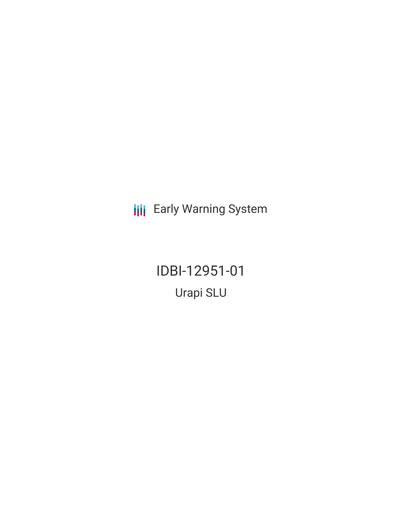**III** Early Warning System

IDBI-12951-01 Urapi SLU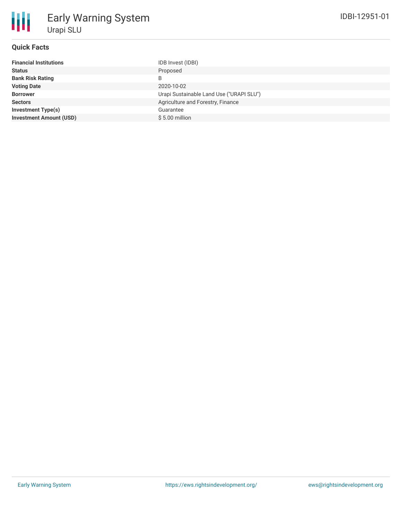# **Quick Facts**

| <b>Financial Institutions</b>  | IDB Invest (IDBI)                        |
|--------------------------------|------------------------------------------|
| <b>Status</b>                  | Proposed                                 |
| <b>Bank Risk Rating</b>        |                                          |
| <b>Voting Date</b>             | 2020-10-02                               |
| <b>Borrower</b>                | Urapi Sustainable Land Use ("URAPI SLU") |
| <b>Sectors</b>                 | Agriculture and Forestry, Finance        |
| <b>Investment Type(s)</b>      | Guarantee                                |
| <b>Investment Amount (USD)</b> | $$5.00$ million                          |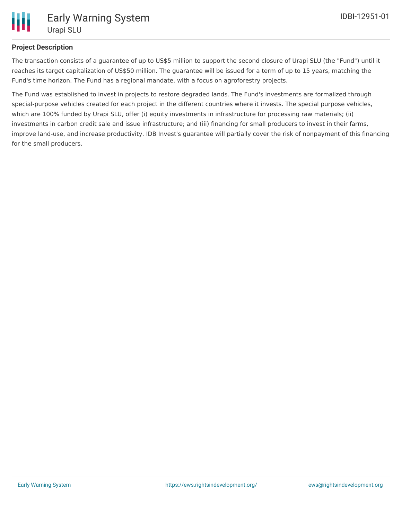

## **Project Description**

The transaction consists of a guarantee of up to US\$5 million to support the second closure of Urapi SLU (the "Fund") until it reaches its target capitalization of US\$50 million. The guarantee will be issued for a term of up to 15 years, matching the Fund's time horizon. The Fund has a regional mandate, with a focus on agroforestry projects.

The Fund was established to invest in projects to restore degraded lands. The Fund's investments are formalized through special-purpose vehicles created for each project in the different countries where it invests. The special purpose vehicles, which are 100% funded by Urapi SLU, offer (i) equity investments in infrastructure for processing raw materials; (ii) investments in carbon credit sale and issue infrastructure; and (iii) financing for small producers to invest in their farms, improve land-use, and increase productivity. IDB Invest's guarantee will partially cover the risk of nonpayment of this financing for the small producers.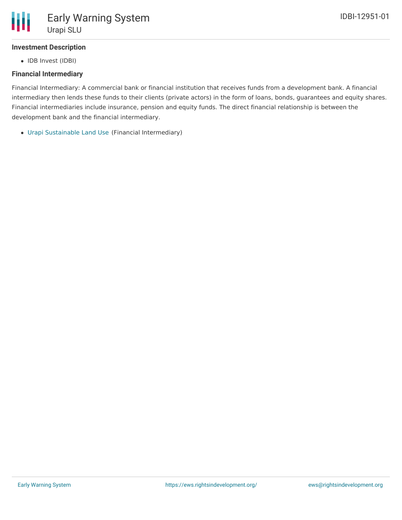

## **Investment Description**

• IDB Invest (IDBI)

#### **Financial Intermediary**

Financial Intermediary: A commercial bank or financial institution that receives funds from a development bank. A financial intermediary then lends these funds to their clients (private actors) in the form of loans, bonds, guarantees and equity shares. Financial intermediaries include insurance, pension and equity funds. The direct financial relationship is between the development bank and the financial intermediary.

Urapi [Sustainable](file:///actor/3414/) Land Use (Financial Intermediary)